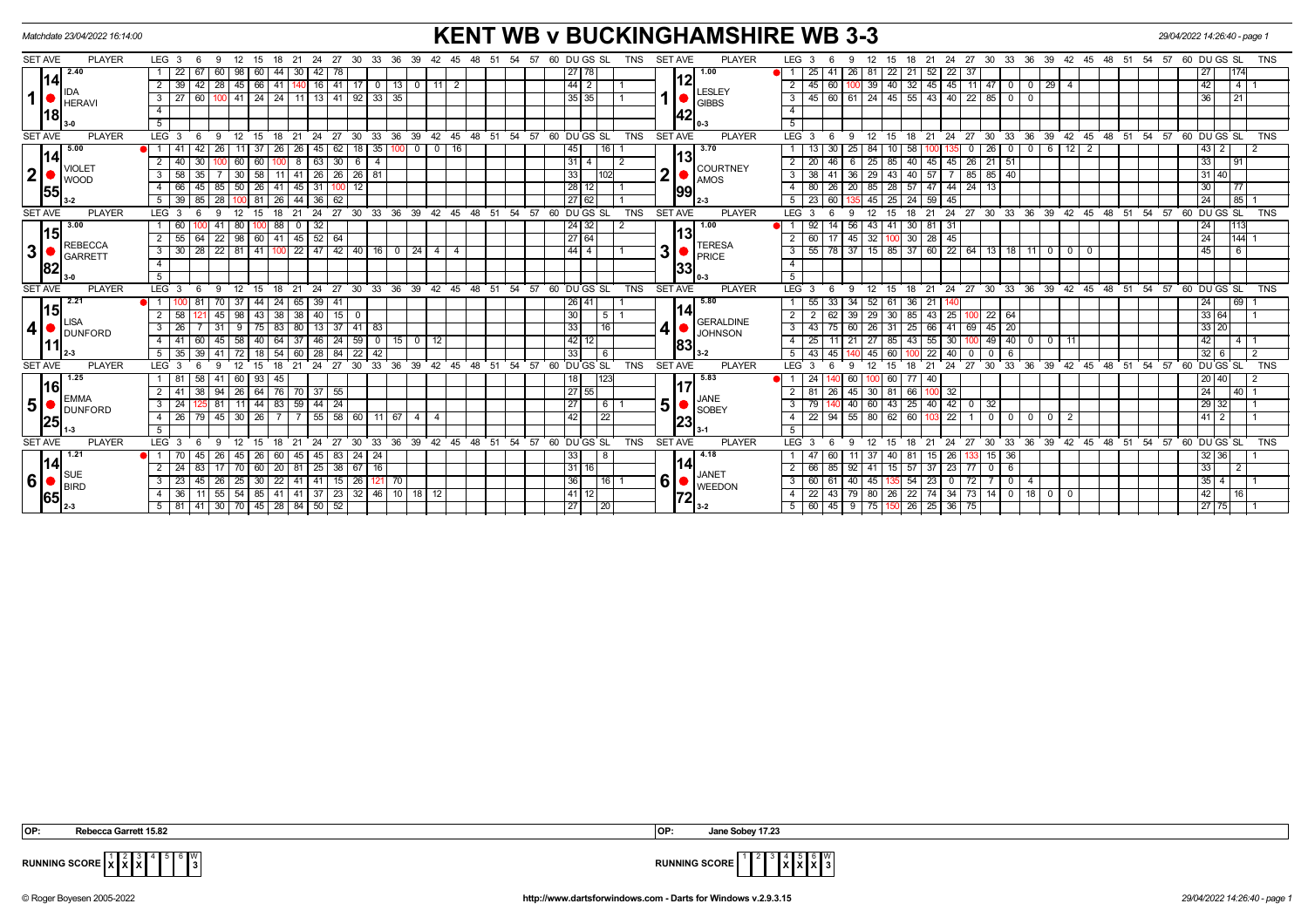| <b>KENT WB v BUCKINGHAMSHIRE WB 3-3</b><br>29/04/2022 14:26:40 - page 1<br>Matchdate 23/04/2022 16:14:00                |                                                                         |                                                                                                                   |                                                                                                           |  |  |  |  |  |  |  |  |  |  |
|-------------------------------------------------------------------------------------------------------------------------|-------------------------------------------------------------------------|-------------------------------------------------------------------------------------------------------------------|-----------------------------------------------------------------------------------------------------------|--|--|--|--|--|--|--|--|--|--|
| <b>SET AVE</b><br><b>PLAYER</b><br>LEG <sub>3</sub><br>27<br>6<br>12 15<br>- 18<br>21<br>-24<br>-9                      | DU GS SL<br>30<br>33<br>36<br>39<br>48<br>54<br>57<br>42<br>45<br>-51   | <b>SET AVE</b><br><b>PLAYER</b><br>LEG <sub>3</sub><br>TNS<br>27<br>30<br>18<br>21<br>24<br>15                    | 60 DU GS SL<br><b>TNS</b><br>33<br>- 36<br>39<br>48<br>57<br>42 45<br>- 51<br>54                          |  |  |  |  |  |  |  |  |  |  |
| 2.40<br>22<br>98<br>44<br>30 I<br>42<br>67<br>- 60<br>60<br>78                                                          | 27 78                                                                   | 1.00<br>21<br>22<br>-37<br>41<br>26<br>22<br>$52 \mid$<br>25                                                      | 27                                                                                                        |  |  |  |  |  |  |  |  |  |  |
| 114 <sub>l</sub><br>45 66 41<br>39<br>140 16 41 17<br>42 28                                                             | $\boxed{44}$ 2<br>$\sqrt{0}$<br>$\vert 13 \vert 0$<br>11 <sup>1</sup>   | 12<br>40 32<br>$45$ 45 11<br>$145$ 60<br>$\overline{2}$<br>39                                                     | 42<br>$4 \mid 1$<br>$\sqrt{47}$ 0<br>$\begin{array}{ c c c }\n\hline\n29 & 4\n\end{array}$<br>$\mathbf 0$ |  |  |  |  |  |  |  |  |  |  |
| 60 100 41 24 24 11 13 41 92 33 35<br>$\overline{27}$<br><b>HERAVI</b>                                                   | 35 35                                                                   | LESLEY<br><b>GIBBS</b>                                                                                            | 36<br> 21 <br>$\overline{0}$                                                                              |  |  |  |  |  |  |  |  |  |  |
| $\overline{4}$<br> 18                                                                                                   |                                                                         | $\overline{4}$<br><b>42</b>                                                                                       |                                                                                                           |  |  |  |  |  |  |  |  |  |  |
| $-5$                                                                                                                    |                                                                         | 5                                                                                                                 |                                                                                                           |  |  |  |  |  |  |  |  |  |  |
| <b>SET AVE</b><br><b>PLAYER</b><br>$LEG^{\prime}$ 3<br>$6\overline{6}$<br>12 15 18 21<br>24 27<br>-9                    | 30 33 36 39 42 45 48 51 54 57 60 DUGS SL                                | <b>PLAYER</b><br>TNS<br><b>SET AVE</b><br>$LEG^{\cdot}$ 3<br>- 6<br>12<br>15<br>18 21<br>24 27                    | 30 33 36 39 42 45 48 51 54 57 60 DUGS SL<br><b>TNS</b>                                                    |  |  |  |  |  |  |  |  |  |  |
| 5.00<br>26<br>62<br>-26<br>-37<br>  26  <br>45                                                                          | 18 I<br>35 I<br>$100$ 0<br>0 1 1 6<br>45<br>16 <sup>1</sup>             | 3.70<br>30<br>25<br>58<br>- 0                                                                                     | 6 12<br> 43 <br>26 I<br>$\overline{2}$<br>$\mathbf 0$<br>$\mathbf{0}$                                     |  |  |  |  |  |  |  |  |  |  |
| 14<br>63<br>40<br>60<br>60<br>8<br>30 <sup>1</sup><br>30<br>$\blacksquare$ VIOLET                                       | 3114<br>6                                                               | 13<br>45<br>26<br>2<br>46<br>85<br>40<br>45 I<br>2   20<br>25 <sub>1</sub><br><b>COURTNEY</b>                     | 33<br>21151<br>91                                                                                         |  |  |  |  |  |  |  |  |  |  |
| 2 <br>58<br>30<br>58<br>41<br>$26 \mid 26 \mid$<br>$-11$<br><b>I</b> WOOD                                               | $26$ 81<br>33                                                           | າ<br>43<br>40<br>85<br>-38<br>41<br>36<br>57<br>3<br>29<br><b>AMOS</b>                                            | 85 40<br> 31 40                                                                                           |  |  |  |  |  |  |  |  |  |  |
| 50<br>45<br>66<br>85<br>26 41<br>31<br>55                                                                               | 28 12<br>12                                                             | 26<br>20<br>28<br>57<br>$47 \mid 44$<br>$\sqrt{24}$<br>80<br>85<br>13<br>$\overline{4}$<br>99                     | 30<br><b>77</b>                                                                                           |  |  |  |  |  |  |  |  |  |  |
| 39<br>36   62<br>85 28<br>$-44$<br>81<br>  26  <br>5                                                                    | 27 62                                                                   | $25 \mid 24$<br>$59 \mid 45$<br>23<br>60<br>45 I                                                                  | 85 1<br>$ 24\rangle$                                                                                      |  |  |  |  |  |  |  |  |  |  |
| <b>SET AVE</b><br><b>PLAYER</b><br>LEG <sup>3</sup><br>24<br>$^{\circ}$ 27<br>12<br>18<br>21<br>15                      | 30 33 36 39<br>42  45  48  51  54  57<br>60 DU GS SL                    | <b>TNS</b><br><b>SET AVE</b><br><b>PLAYER</b><br>24 27 30 33 36<br>LEG <sub>3</sub><br>21<br>15                   | 39 42 45 48 51 54 57<br>60 DU GS SL<br><b>TNS</b>                                                         |  |  |  |  |  |  |  |  |  |  |
| 80<br>100 88<br>$\mathbf 0$<br>32<br>3.00<br>60<br>00 41<br>15                                                          | 24 32                                                                   | 1.00<br>56<br>41<br>30 <sup>1</sup><br>$81 \overline{\smash{)}31}$<br>43 I                                        | $\sqrt{24}$<br>13                                                                                         |  |  |  |  |  |  |  |  |  |  |
| 98   60   41<br>55<br>$145$ 52 64<br>$\overline{22}$<br>64<br>2<br>REBECCA                                              | $\sqrt{27}$ 64                                                          | l13<br>45<br>32<br>100 30<br>$28 \mid 45$<br>2 <sup>1</sup><br>I 60 I<br>17<br><b>TERESA</b>                      | $\sqrt{24}$<br>$ 144 $ 1                                                                                  |  |  |  |  |  |  |  |  |  |  |
| 31<br>81<br>30<br>$28$ 22<br>41 100<br>$\mathbf{3}$<br>GARRETT                                                          | 22 47 42 40 16 0 24<br> 44 4<br>4 I<br>$\overline{4}$                   | 3<br>  55   78   37   15   85   37   60   22   64   13   18   11   0   0  <br>3<br><b>PRICE</b>                   | 45<br>- 6 I<br>$\overline{\mathbf{0}}$                                                                    |  |  |  |  |  |  |  |  |  |  |
| $\overline{4}$<br>82                                                                                                    |                                                                         | $\overline{4}$<br> 33                                                                                             |                                                                                                           |  |  |  |  |  |  |  |  |  |  |
| 5                                                                                                                       |                                                                         | 5                                                                                                                 |                                                                                                           |  |  |  |  |  |  |  |  |  |  |
| <b>PLAYER</b><br><b>SET AVE</b><br>LEG <sup>3</sup><br>6<br>12<br>18<br>$^{\circ}$ 21<br>- 9<br>15                      | 24 27 30 33 36 39 42 45 48 51 54 57 60 DUGS SL                          | <b>PLAYER</b><br><b>TNS</b><br><b>SET AVE</b><br>LEG <sup>3</sup><br>$12 \quad 15$<br>$18$ 21<br>- 6<br>-9        | 24 27 30 33 36 39 42 45 48 51 54 57 60 DUGS SL<br><b>TNS</b>                                              |  |  |  |  |  |  |  |  |  |  |
| $65$ 39 41<br>2.21<br>37<br>44<br>70<br>  24<br>-81<br>15                                                               | 26 41                                                                   | 5.80<br>61<br>33<br>34<br>52  <br>36<br>$21 \mid$<br>-55<br>114                                                   | 24 <br>$69$   1                                                                                           |  |  |  |  |  |  |  |  |  |  |
| 58<br>98<br>38<br>43 38<br>$40$ 15<br>45<br><b>LISA</b>                                                                 | 30<br><sup>5</sup><br>0                                                 | 62<br>30<br>$43 \mid 25$<br>2<br>39<br>85<br>29 I<br><b>GERALDINE</b>                                             | 33 64 <br>22   64                                                                                         |  |  |  |  |  |  |  |  |  |  |
| 41<br>26<br>80<br>9<br>83<br>13<br><b>DUNFORD</b>                                                                       | 33<br>$37$ 41 83<br>16                                                  | 4<br>$3 \mid 43$<br>75<br>60<br>31<br>25<br>41<br>69<br>26 I<br>66 I<br><b>JOHNSON</b>                            | $45$   20<br>33 20                                                                                        |  |  |  |  |  |  |  |  |  |  |
| 58<br>37<br>$\sqrt{24}$<br>41<br>64<br>46<br>45                                                                         | 42 12<br>59<br>$15$ 0<br>12<br>$^{\circ}$                               | 55<br>30<br>$\overline{4}$<br>-25<br>21<br>85<br>43<br>183                                                        | 42<br>49<br>40<br>0 1 1 1<br>4   1<br>$\Omega$                                                            |  |  |  |  |  |  |  |  |  |  |
| 35<br>72<br>60<br>28<br>84<br>54                                                                                        | 33<br>22<br>42                                                          | 40<br>5<br>43<br>45<br>60<br>22                                                                                   | 32<br>$\overline{2}$<br>0 <sup>1</sup><br>-6                                                              |  |  |  |  |  |  |  |  |  |  |
| <b>PLAYER</b><br><b>SET AVE</b><br>LEG <sub>3</sub><br>24<br>27                                                         | DU GS SL<br>33<br>36<br>39<br>48<br>54 57<br>30<br>42<br>45<br>51<br>60 | <b>TNS</b><br><b>SET AVE</b><br><b>PLAYER</b><br>30<br><b>LEG</b><br>27<br>24                                     | 33<br>36<br>39<br>48<br>51<br>54<br>57<br>60 DU GS SL<br><b>TNS</b><br>42<br>45                           |  |  |  |  |  |  |  |  |  |  |
| 1.25<br>60<br>41<br>93<br>-81<br>45<br> 16                                                                              | 118<br>123                                                              | 5.83<br>60<br>60<br>77<br>40                                                                                      | 20 40                                                                                                     |  |  |  |  |  |  |  |  |  |  |
| 26<br>70 37 55<br>64<br>76<br><b>EMMA</b>                                                                               | 27 55                                                                   | 26<br>45<br>81<br>66<br>32<br>2<br>30 I<br><b>JANE</b>                                                            | $\sqrt{24}$<br> 40 1                                                                                      |  |  |  |  |  |  |  |  |  |  |
| 5 <sup>1</sup><br>59<br>$44 \mid 24$<br>24<br>44<br>11<br>83<br>3<br>DUNFORD                                            | 27<br>6                                                                 | 51<br>25<br>$40 \mid 42$<br>32<br>40<br>43<br>3<br>60<br>$\mathbf 0$<br><b>SOBEY</b>                              | 29 <br>32 I                                                                                               |  |  |  |  |  |  |  |  |  |  |
| 26<br>30<br>55<br>58<br>45<br>-26<br>25                                                                                 | 42<br>60<br>$11 \mid 67 \mid 4$<br>22                                   | 22<br>94<br>55<br>62<br>60<br>22<br>4<br>80 I<br>23                                                               | 0 <sup>1</sup><br>41<br>$\circ$ 1<br>$\overline{2}$<br>$^{\circ}$ 0 $\cdot$<br>0                          |  |  |  |  |  |  |  |  |  |  |
|                                                                                                                         |                                                                         |                                                                                                                   |                                                                                                           |  |  |  |  |  |  |  |  |  |  |
| <b>PLAYER</b><br><b>SET AVE</b><br>LEG <sup>3</sup><br>27<br>24<br>-6<br>ം<br>12<br>15<br>-18<br>21                     | 60 DUGS SL<br>30<br>33<br>36<br>39<br>42<br>45<br>48<br>51<br>54<br>57  | <b>SET AVE</b><br><b>PLAYER</b><br><b>TNS</b><br>LEG <sup>3</sup><br>27<br>30<br>12<br>18<br>21<br>24<br>-6<br>15 | 36<br>54<br>57<br>60 DU GS SL<br><b>TNS</b><br>33<br>39<br>42<br>45<br>48<br>51                           |  |  |  |  |  |  |  |  |  |  |
| 1.21<br>45<br>26<br>45  <br>45<br>83<br>70<br>60<br>114 <sub>l</sub>                                                    | $24$   24<br>33                                                         | 4.18<br>60<br>40<br>-81<br>26<br>15<br>14                                                                         | 32 36 <br>$15 \mid 36$                                                                                    |  |  |  |  |  |  |  |  |  |  |
| 24<br>70<br>$60$   20   81<br>83<br>17<br>$\sqrt{\text{SUE}}$                                                           | $25 \mid 38 \mid 67 \mid 16$<br>31 16                                   | 85<br>57<br>$37 \mid 23$<br>2   66  <br>92<br>15<br>77<br><b>JANET</b>                                            | 33<br>$\overline{2}$<br>$0$ 6                                                                             |  |  |  |  |  |  |  |  |  |  |
| 6 <br>$\overline{25}$<br>$\sqrt{23}$<br>30   22   41   41   15   26  <br>45 26<br>3 <sup>1</sup><br>$\blacksquare$ BIRD | $\overline{36}$<br>$16$   1<br>121 70                                   | 6<br>$\sqrt{40}$<br>45 135 54<br>$23 \mid 0$<br>$\overline{72}$<br>3   60   61<br><b>WEEDON</b>                   | $\overline{35}$   4  <br>70<br>$\overline{1}$ 1<br>$\overline{4}$                                         |  |  |  |  |  |  |  |  |  |  |
| 36<br>11   55   54   85   41   41   37   23   32   46   10   18   12  <br>$\overline{4}$<br> 65                         | $\boxed{41}$ 12                                                         | 4   22   43   79   80   26   22   74   34   73   14   0   18   0   0<br>72                                        | 42<br> 16                                                                                                 |  |  |  |  |  |  |  |  |  |  |
| 41 30 70 45 28 84 50 52<br>$5 \mid 81 \mid$                                                                             | $\overline{27}$<br>20                                                   | 5   60   45   9   75   150   26<br>$25 \mid 36 \mid 75$                                                           | 27 75                                                                                                     |  |  |  |  |  |  |  |  |  |  |

 **OP: Rebecca Garrett 15.82 OP: Jane Sobey 17.23**

 $\frac{5}{3}$ 



**RUNNING SCORE**  $\begin{bmatrix} 1 & 2 & 3 \\ X & X & X \end{bmatrix}$